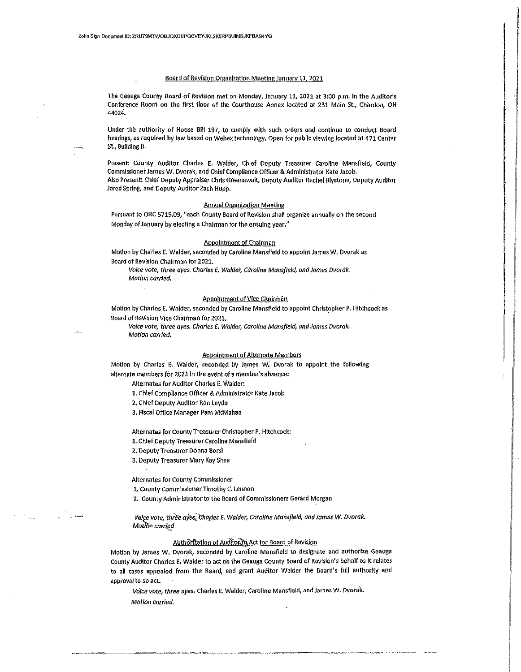#### Board of Revision Organization Meeting January 11, 2021

The Geauga County Board of Revision met on Monday, January 11, 2021 at 3:00 p.m. in the Auditor's Conference Room on the first floor of the Courthouse Annex located at 231 Main St., Chardon, OH 44024.

Under the authority of House Bill 197, to comply with such orders and continue to conduct Board hearings, as required by law based on Webex technology. Open for public viewing located at 471 Center St., Building 8,

Present: County Auditor Charles E. Walder, Chief Deputy Treasurer Caroline Mansfield, County Commissioner James W. Dvorak, and Chief Compliance Officer & Administrator Kate Jacob. Also Present: Chief Deputy Appraiser Chrls Greenawalt, Deputy Auditor Rachel Blystone, Deputy Auditor Jared Spring, and Deputy Auditor Zach Hupp.

## Annual Organization Meeting

Pursuant to ORC 5715.09, "each County Board of Revision shall organize annually on the second Monday of January by electing a Chairman for the ensuing year."

### Appointment of Chairman

Motion by Charles E. Walder, seconded by Caroline Mansfield to appoint James W. Dvorak as Board of Revision Chairman for 2021.

*Voice vote, three ayes. Charles E. Walder, Caroline Mansfield, and James Dvorak. Motion carried.* 

## Appointment of Vice Chalrrhan

Motion by Charles E. Walder, seconded by Caroline Mansfield to appoint Christopher P. Hitchcock as Board of Revision Vice Chalrmah for 2021.

Voice vote, three ayes. Charles E. Walder, Caroline Mansfield, and James Dvorak. Motion carried.

#### Appointment of Alternate Members

Motion by Charles E. Walder, seconded by James W. Dvorak to appoint the following alternate members for 2021 in the event of a member's absence:

Alternates for Auditor Charles E. Walder:

1. chief compliance officer & Adminlstrator Kate Jacob

*2.* Chief Deputy Auditor Ron Leyde

3. Fiscal Office Manager Pam McMahan

Alternates for County Treasurer Christopher P. Hitchcock:

1. Chief Deputy Treasurer Caroline Mansfiefd

2. Deputy Treasurer Donna Borsi

3. Deputy Treasurer Mary Kay Shea

Alternates for county commissioner

1,. County Comm lssloner Timothy C. Lennon

2. County Administrator to the Board of Commissioners Gerard Morgan

i1ril[fe vote, *thie'e* aYe.s;!";hqrleS f. Walder. Catolifle Marlsfleltl, and James *w.* Dvorak. *MotfOo* car-r:{(},~-·

## Authorization of Auditority Act for Board of Revision

Motion by James w. Dvorak, seconded by Caroline Mansfield to designate and authorize Geauga County Auditor Charles E. Walder to act on the Geauga County Board of Revision's behalf as it relates to all cases appealed from the Board, and grant Auditor Walder the Board's full authority and approval to so act.

*VOice* vote, *three ayes,* Charles E. Walder, Caroline Mansfield, and James W. Dvorak Motion carried.